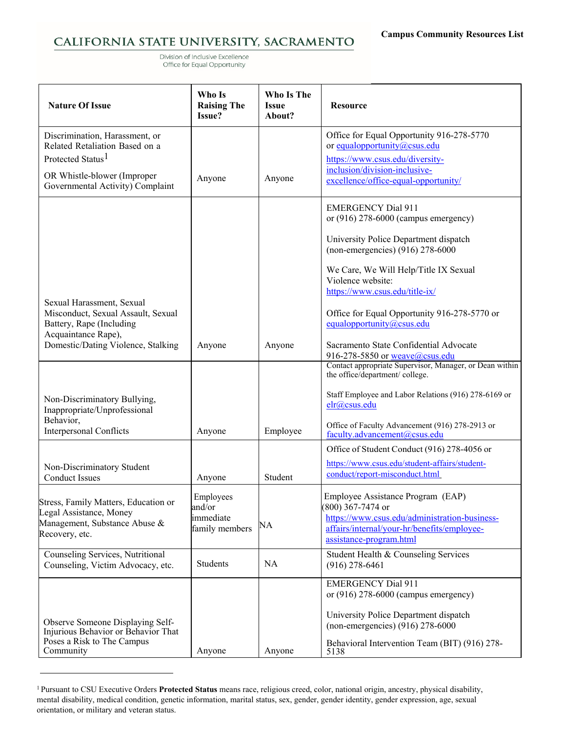## CALIFORNIA STATE UNIVERSITY, SACRAMENTO

Division of Inclusive Excellence Office for Equal Opportunity

| <b>Nature Of Issue</b>                                                                                                                                               | Who Is<br><b>Raising The</b><br>Issue?             | Who Is The<br><b>Issue</b><br>About? | <b>Resource</b>                                                                                                                                                                                                                                         |
|----------------------------------------------------------------------------------------------------------------------------------------------------------------------|----------------------------------------------------|--------------------------------------|---------------------------------------------------------------------------------------------------------------------------------------------------------------------------------------------------------------------------------------------------------|
| Discrimination, Harassment, or<br>Related Retaliation Based on a<br>Protected Status <sup>1</sup><br>OR Whistle-blower (Improper<br>Governmental Activity) Complaint | Anyone                                             | Anyone                               | Office for Equal Opportunity 916-278-5770<br>or equalopportunity@csus.edu<br>https://www.csus.edu/diversity-<br>inclusion/division-inclusive-<br>excellence/office-equal-opportunity/                                                                   |
|                                                                                                                                                                      |                                                    |                                      | <b>EMERGENCY Dial 911</b><br>or $(916)$ 278-6000 (campus emergency)<br>University Police Department dispatch<br>(non-emergencies) (916) 278-6000                                                                                                        |
| Sexual Harassment, Sexual<br>Misconduct, Sexual Assault, Sexual<br>Battery, Rape (Including<br>Acquaintance Rape),                                                   |                                                    |                                      | We Care, We Will Help/Title IX Sexual<br>Violence website:<br>https://www.csus.edu/title-ix/<br>Office for Equal Opportunity 916-278-5770 or<br>equalopportunity@csus.edu<br>Sacramento State Confidential Advocate                                     |
| Domestic/Dating Violence, Stalking<br>Non-Discriminatory Bullying,<br>Inappropriate/Unprofessional<br>Behavior,<br><b>Interpersonal Conflicts</b>                    | Anyone<br>Anyone                                   | Anyone<br>Employee                   | 916-278-5850 or weave@csus.edu<br>Contact appropriate Supervisor, Manager, or Dean within<br>the office/department/ college.<br>Staff Employee and Labor Relations (916) 278-6169 or<br>elr@csus.edu<br>Office of Faculty Advancement (916) 278-2913 or |
| Non-Discriminatory Student<br><b>Conduct Issues</b>                                                                                                                  | Anyone                                             | Student                              | faculty.advancement@csus.edu<br>Office of Student Conduct (916) 278-4056 or<br>https://www.csus.edu/student-affairs/student-<br>conduct/report-misconduct.html                                                                                          |
| Stress, Family Matters, Education or<br>Legal Assistance, Money<br>Management, Substance Abuse &<br>Recovery, etc.                                                   | Employees<br>and/or<br>immediate<br>family members | NA                                   | Employee Assistance Program (EAP)<br>(800) 367-7474 or<br>https://www.csus.edu/administration-business-<br>affairs/internal/your-hr/benefits/employee-<br>assistance-program.html                                                                       |
| Counseling Services, Nutritional<br>Counseling, Victim Advocacy, etc.                                                                                                | Students                                           | <b>NA</b>                            | Student Health & Counseling Services<br>$(916)$ 278-6461                                                                                                                                                                                                |
| Observe Someone Displaying Self-<br>Injurious Behavior or Behavior That<br>Poses a Risk to The Campus<br>Community                                                   | Anyone                                             | Anyone                               | <b>EMERGENCY Dial 911</b><br>or $(916)$ 278-6000 (campus emergency)<br>University Police Department dispatch<br>(non-emergencies) (916) 278-6000<br>Behavioral Intervention Team (BIT) (916) 278-<br>5138                                               |

<span id="page-0-0"></span><sup>&</sup>lt;sup>1</sup> Pursuant to CSU Executive Orders Protected Status means race, religious creed, color, national origin, ancestry, physical disability, mental disability, medical condition, genetic information, marital status, sex, gender, gender identity, gender expression, age, sexual orientation, or military and veteran status.